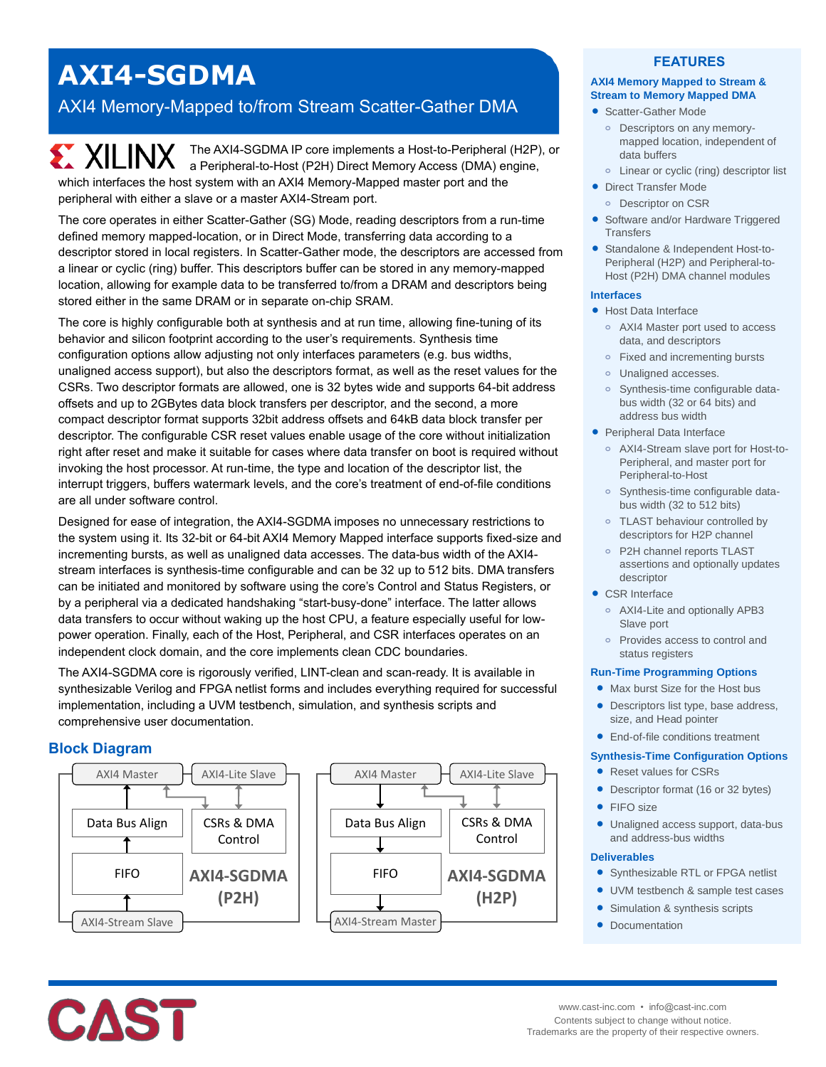# **AXI4-SGDMA**

# AXI4 Memory-Mapped to/from Stream Scatter-Gather DMA

The AXI4-SGDMA IP core implements a Host-to-Peripheral (H2P), or a Peripheral-to-Host (P2H) Direct Memory Access (DMA) engine, which interfaces the host system with an AXI4 Memory-Mapped master port and the peripheral with either a slave or a master AXI4-Stream port.

The core operates in either Scatter-Gather (SG) Mode, reading descriptors from a run-time defined memory mapped-location, or in Direct Mode, transferring data according to a descriptor stored in local registers. In Scatter-Gather mode, the descriptors are accessed from a linear or cyclic (ring) buffer. This descriptors buffer can be stored in any memory-mapped location, allowing for example data to be transferred to/from a DRAM and descriptors being stored either in the same DRAM or in separate on-chip SRAM.

The core is highly configurable both at synthesis and at run time, allowing fine-tuning of its behavior and silicon footprint according to the user's requirements. Synthesis time configuration options allow adjusting not only interfaces parameters (e.g. bus widths, unaligned access support), but also the descriptors format, as well as the reset values for the CSRs. Two descriptor formats are allowed, one is 32 bytes wide and supports 64-bit address offsets and up to 2GBytes data block transfers per descriptor, and the second, a more compact descriptor format supports 32bit address offsets and 64kB data block transfer per descriptor. The configurable CSR reset values enable usage of the core without initialization right after reset and make it suitable for cases where data transfer on boot is required without invoking the host processor. At run-time, the type and location of the descriptor list, the interrupt triggers, buffers watermark levels, and the core's treatment of end-of-file conditions are all under software control.

Designed for ease of integration, the AXI4-SGDMA imposes no unnecessary restrictions to the system using it. Its 32-bit or 64-bit AXI4 Memory Mapped interface supports fixed-size and incrementing bursts, as well as unaligned data accesses. The data-bus width of the AXI4 stream interfaces is synthesis-time configurable and can be 32 up to 512 bits. DMA transfers can be initiated and monitored by software using the core's Control and Status Registers, or by a peripheral via a dedicated handshaking "start-busy-done" interface. The latter allows data transfers to occur without waking up the host CPU, a feature especially useful for lowpower operation. Finally, each of the Host, Peripheral, and CSR interfaces operates on an independent clock domain, and the core implements clean CDC boundaries.

The AXI4-SGDMA core is rigorously verified, LINT-clean and scan-ready. It is available in synthesizable Verilog and FPGA netlist forms and includes everything required for successful implementation, including a UVM testbench, simulation, and synthesis scripts and comprehensive user documentation.

# **Block Diagram**



## **FEATURES**

#### **AXI4 Memory Mapped to Stream & Stream to Memory Mapped DMA**

- Scatter-Gather Mode
	- **o** Descriptors on any memorymapped location, independent of data buffers
- **o** Linear or cyclic (ring) descriptor list
- **•** Direct Transfer Mode **o** Descriptor on CSR
- Software and/or Hardware Triggered **Transfers**
- Standalone & Independent Host-to-Peripheral (H2P) and Peripheral-to-Host (P2H) DMA channel modules

#### **Interfaces**

- Host Data Interface
	- **o** AXI4 Master port used to access data, and descriptors
	- **o** Fixed and incrementing bursts
	- **o** Unaligned accesses.
	- **o** Synthesis-time configurable databus width (32 or 64 bits) and address bus width
- Peripheral Data Interface
	- **o** AXI4-Stream slave port for Host-to-Peripheral, and master port for Peripheral-to-Host
	- **o** Synthesis-time configurable databus width (32 to 512 bits)
	- **o** TLAST behaviour controlled by descriptors for H2P channel
	- **o** P2H channel reports TLAST assertions and optionally updates descriptor
- CSR Interface
	- **o** AXI4-Lite and optionally APB3 Slave port
	- **o** Provides access to control and status registers

#### **Run-Time Programming Options**

- Max burst Size for the Host bus
- Descriptors list type, base address, size, and Head pointer
- End-of-file conditions treatment

#### **Synthesis-Time Configuration Options**

- Reset values for CSRs
- Descriptor format (16 or 32 bytes)
- FIFO size
- Unaligned access support, data-bus and address-bus widths

#### **Deliverables**

- Synthesizable RTL or FPGA netlist
- UVM testbench & sample test cases
- Simulation & synthesis scripts
- Documentation